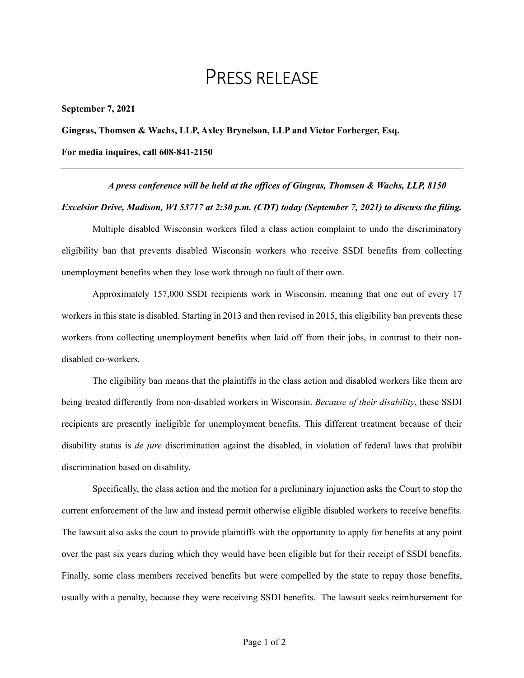**September 7, 2021** 

**Gingras, Thomsen & Wachs, LLP, Axley Brynelson, LLP and Victor Forberger, Esq.** 

**For media inquires, call 608-841-2150** 

*A press conference will be held at the offices of Gingras, Thomsen & Wachs, LLP, 8150 Excelsior Drive, Madison, WI 53717 at 2:30 p.m. (CDT) today (September 7, 2021) to discuss the filing.* 

Multiple disabled Wisconsin workers filed a class action complaint to undo the discriminatory eligibility ban that prevents disabled Wisconsin workers who receive SSDI benefits from collecting unemployment benefits when they lose work through no fault of their own.

 Approximately 157,000 SSDI recipients work in Wisconsin, meaning that one out of every 17 workers in this state is disabled. Starting in 2013 and then revised in 2015, this eligibility ban prevents these workers from collecting unemployment benefits when laid off from their jobs, in contrast to their nondisabled co-workers.

 The eligibility ban means that the plaintiffs in the class action and disabled workers like them are being treated differently from non-disabled workers in Wisconsin. *Because of their disability*, these SSDI recipients are presently ineligible for unemployment benefits. This different treatment because of their disability status is *de jure* discrimination against the disabled, in violation of federal laws that prohibit discrimination based on disability.

 Specifically, the class action and the motion for a preliminary injunction asks the Court to stop the current enforcement of the law and instead permit otherwise eligible disabled workers to receive benefits. The lawsuit also asks the court to provide plaintiffs with the opportunity to apply for benefits at any point over the past six years during which they would have been eligible but for their receipt of SSDI benefits. Finally, some class members received benefits but were compelled by the state to repay those benefits, usually with a penalty, because they were receiving SSDI benefits. The lawsuit seeks reimbursement for